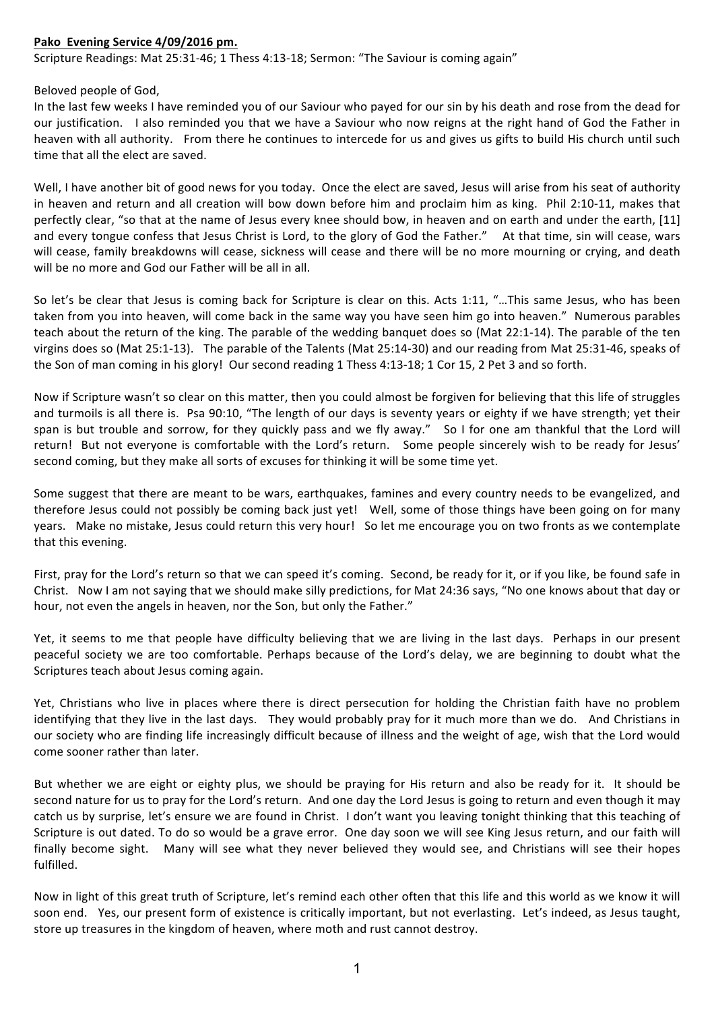## **Pako Evening Service 4/09/2016 pm.**

Scripture Readings: Mat 25:31-46; 1 Thess 4:13-18; Sermon: "The Saviour is coming again"

Beloved people of God.

In the last few weeks I have reminded you of our Saviour who payed for our sin by his death and rose from the dead for our justification. I also reminded you that we have a Saviour who now reigns at the right hand of God the Father in heaven with all authority. From there he continues to intercede for us and gives us gifts to build His church until such time that all the elect are saved.

Well, I have another bit of good news for you today. Once the elect are saved, Jesus will arise from his seat of authority in heaven and return and all creation will bow down before him and proclaim him as king. Phil 2:10-11, makes that perfectly clear, "so that at the name of Jesus every knee should bow, in heaven and on earth and under the earth, [11] and every tongue confess that Jesus Christ is Lord, to the glory of God the Father." At that time, sin will cease, wars will cease, family breakdowns will cease, sickness will cease and there will be no more mourning or crying, and death will be no more and God our Father will be all in all.

So let's be clear that Jesus is coming back for Scripture is clear on this. Acts 1:11, "...This same Jesus, who has been taken from you into heaven, will come back in the same way you have seen him go into heaven." Numerous parables teach about the return of the king. The parable of the wedding banquet does so (Mat 22:1-14). The parable of the ten virgins does so (Mat 25:1-13). The parable of the Talents (Mat 25:14-30) and our reading from Mat 25:31-46, speaks of the Son of man coming in his glory! Our second reading 1 Thess 4:13-18; 1 Cor 15, 2 Pet 3 and so forth.

Now if Scripture wasn't so clear on this matter, then you could almost be forgiven for believing that this life of struggles and turmoils is all there is. Psa 90:10, "The length of our days is seventy years or eighty if we have strength; yet their span is but trouble and sorrow, for they quickly pass and we fly away." So I for one am thankful that the Lord will return! But not everyone is comfortable with the Lord's return. Some people sincerely wish to be ready for Jesus' second coming, but they make all sorts of excuses for thinking it will be some time yet.

Some suggest that there are meant to be wars, earthquakes, famines and every country needs to be evangelized, and therefore Jesus could not possibly be coming back just yet! Well, some of those things have been going on for many years. Make no mistake, Jesus could return this very hour! So let me encourage you on two fronts as we contemplate that this evening.

First, pray for the Lord's return so that we can speed it's coming. Second, be ready for it, or if you like, be found safe in Christ. Now I am not saying that we should make silly predictions, for Mat 24:36 says, "No one knows about that day or hour, not even the angels in heaven, nor the Son, but only the Father."

Yet, it seems to me that people have difficulty believing that we are living in the last days. Perhaps in our present peaceful society we are too comfortable. Perhaps because of the Lord's delay, we are beginning to doubt what the Scriptures teach about Jesus coming again.

Yet, Christians who live in places where there is direct persecution for holding the Christian faith have no problem identifying that they live in the last days. They would probably pray for it much more than we do. And Christians in our society who are finding life increasingly difficult because of illness and the weight of age, wish that the Lord would come sooner rather than later.

But whether we are eight or eighty plus, we should be praying for His return and also be ready for it. It should be second nature for us to pray for the Lord's return. And one day the Lord Jesus is going to return and even though it may catch us by surprise, let's ensure we are found in Christ. I don't want you leaving tonight thinking that this teaching of Scripture is out dated. To do so would be a grave error. One day soon we will see King Jesus return, and our faith will finally become sight. Many will see what they never believed they would see, and Christians will see their hopes fulfilled. 

Now in light of this great truth of Scripture, let's remind each other often that this life and this world as we know it will soon end. Yes, our present form of existence is critically important, but not everlasting. Let's indeed, as Jesus taught, store up treasures in the kingdom of heaven, where moth and rust cannot destroy.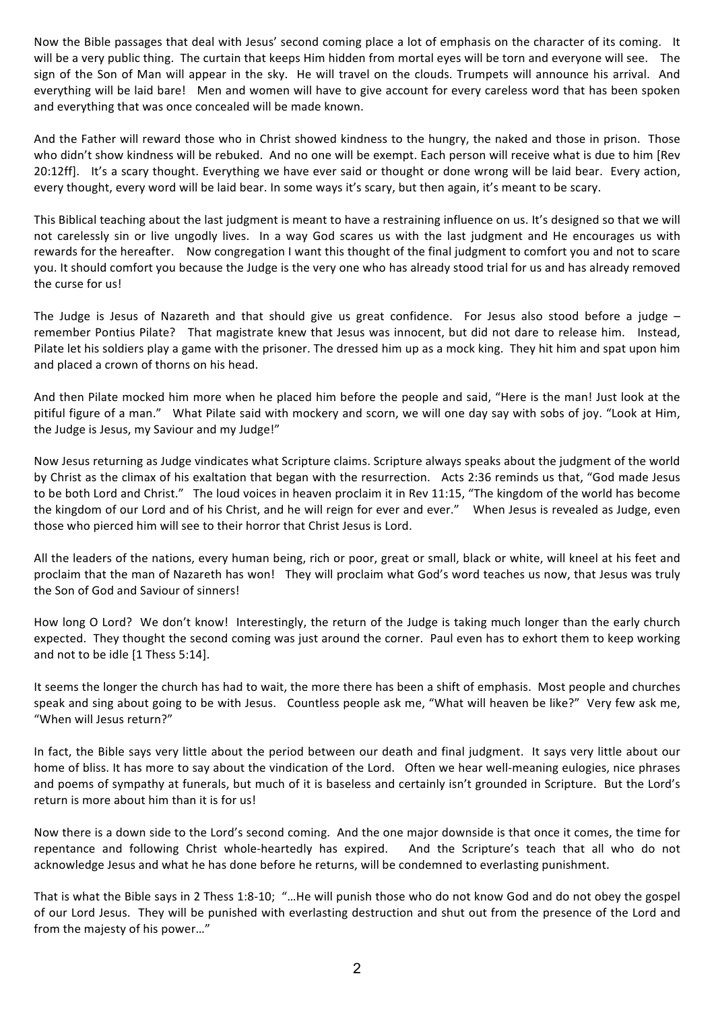Now the Bible passages that deal with Jesus' second coming place a lot of emphasis on the character of its coming. It will be a very public thing. The curtain that keeps Him hidden from mortal eyes will be torn and everyone will see. The sign of the Son of Man will appear in the sky. He will travel on the clouds. Trumpets will announce his arrival. And everything will be laid bare! Men and women will have to give account for every careless word that has been spoken and everything that was once concealed will be made known.

And the Father will reward those who in Christ showed kindness to the hungry, the naked and those in prison. Those who didn't show kindness will be rebuked. And no one will be exempt. Each person will receive what is due to him [Rev 20:12ff]. It's a scary thought. Everything we have ever said or thought or done wrong will be laid bear. Every action, every thought, every word will be laid bear. In some ways it's scary, but then again, it's meant to be scary.

This Biblical teaching about the last judgment is meant to have a restraining influence on us. It's designed so that we will not carelessly sin or live ungodly lives. In a way God scares us with the last judgment and He encourages us with rewards for the hereafter. Now congregation I want this thought of the final judgment to comfort you and not to scare you. It should comfort you because the Judge is the very one who has already stood trial for us and has already removed the curse for us!

The Judge is Jesus of Nazareth and that should give us great confidence. For Jesus also stood before a judge  $$ remember Pontius Pilate? That magistrate knew that Jesus was innocent, but did not dare to release him. Instead, Pilate let his soldiers play a game with the prisoner. The dressed him up as a mock king. They hit him and spat upon him and placed a crown of thorns on his head.

And then Pilate mocked him more when he placed him before the people and said, "Here is the man! Just look at the pitiful figure of a man." What Pilate said with mockery and scorn, we will one day say with sobs of joy. "Look at Him, the Judge is Jesus, my Saviour and my Judge!"

Now Jesus returning as Judge vindicates what Scripture claims. Scripture always speaks about the judgment of the world by Christ as the climax of his exaltation that began with the resurrection. Acts 2:36 reminds us that, "God made Jesus to be both Lord and Christ." The loud voices in heaven proclaim it in Rev 11:15, "The kingdom of the world has become the kingdom of our Lord and of his Christ, and he will reign for ever and ever." When Jesus is revealed as Judge, even those who pierced him will see to their horror that Christ Jesus is Lord.

All the leaders of the nations, every human being, rich or poor, great or small, black or white, will kneel at his feet and proclaim that the man of Nazareth has won! They will proclaim what God's word teaches us now, that Jesus was truly the Son of God and Saviour of sinners!

How long O Lord? We don't know! Interestingly, the return of the Judge is taking much longer than the early church expected. They thought the second coming was just around the corner. Paul even has to exhort them to keep working and not to be idle [1 Thess 5:14].

It seems the longer the church has had to wait, the more there has been a shift of emphasis. Most people and churches speak and sing about going to be with Jesus. Countless people ask me, "What will heaven be like?" Very few ask me, "When will lesus return?"

In fact, the Bible says very little about the period between our death and final judgment. It says very little about our home of bliss. It has more to say about the vindication of the Lord. Often we hear well-meaning eulogies, nice phrases and poems of sympathy at funerals, but much of it is baseless and certainly isn't grounded in Scripture. But the Lord's return is more about him than it is for us!

Now there is a down side to the Lord's second coming. And the one major downside is that once it comes, the time for repentance and following Christ whole-heartedly has expired. And the Scripture's teach that all who do not acknowledge Jesus and what he has done before he returns, will be condemned to everlasting punishment.

That is what the Bible says in 2 Thess 1:8-10; "...He will punish those who do not know God and do not obey the gospel of our Lord Jesus. They will be punished with everlasting destruction and shut out from the presence of the Lord and from the majesty of his power..."